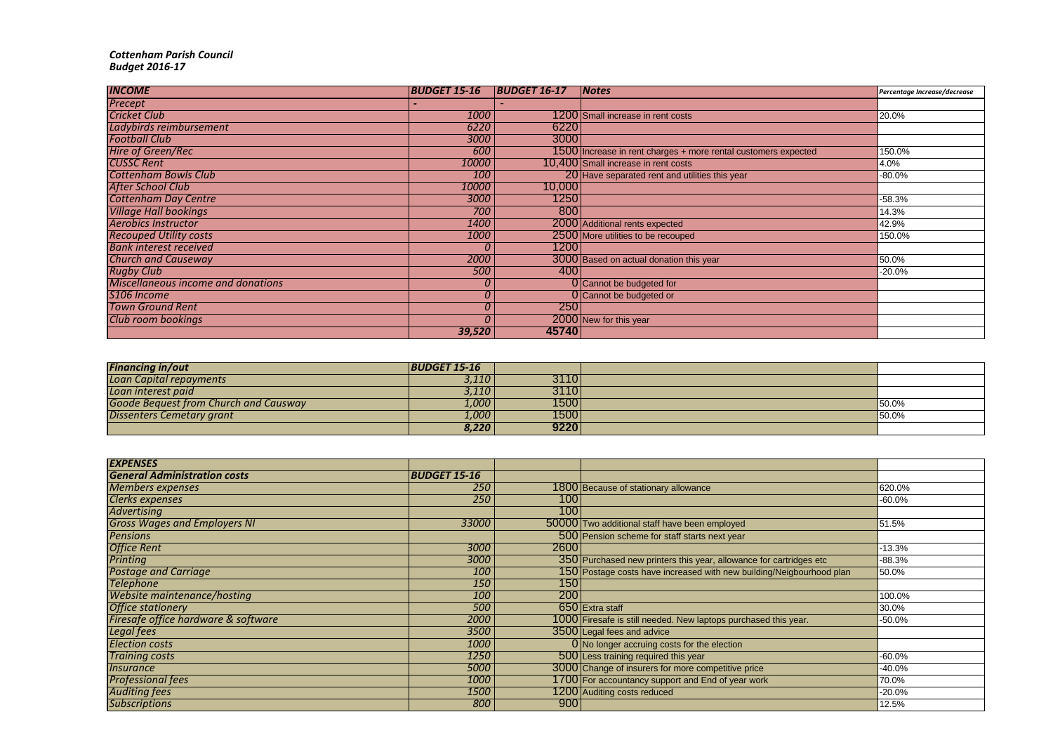## *Cottenham Parish Council Budget 2016-17*

| <b>INCOME</b>                             | <b>BUDGET 15-16</b> | <b>BUDGET 16-17</b> | <i>Notes</i>                                                   | Percentage Increase/decrease |
|-------------------------------------------|---------------------|---------------------|----------------------------------------------------------------|------------------------------|
| Precept                                   |                     |                     |                                                                |                              |
| <b>Cricket Club</b>                       | 1000                |                     | 1200 Small increase in rent costs                              | 20.0%                        |
| Ladybirds reimbursement                   | 6220                | 6220                |                                                                |                              |
| <b>Football Club</b>                      | 3000                | 3000                |                                                                |                              |
| <b>Hire of Green/Rec</b>                  | 600                 |                     | 1500 Increase in rent charges + more rental customers expected | 150.0%                       |
| <b>CUSSC Rent</b>                         | 10000               |                     | 10,400 Small increase in rent costs                            | 4.0%                         |
| <b>Cottenham Bowls Club</b>               | 100                 |                     | 20 Have separated rent and utilities this year                 | $-80.0%$                     |
| After School Club                         | 10000               | 10,000              |                                                                |                              |
| <b>Cottenham Day Centre</b>               | 3000                | 1250                |                                                                | $-58.3%$                     |
| <b>Village Hall bookings</b>              | 700                 | 800                 |                                                                | 14.3%                        |
| <b>Aerobics Instructor</b>                | 1400                |                     | 2000 Additional rents expected                                 | 42.9%                        |
| <b>Recouped Utility costs</b>             | 1000                |                     | 2500 More utilities to be recouped                             | 150.0%                       |
| <b>Bank interest received</b>             | 0                   | 1200                |                                                                |                              |
| <b>Church and Causeway</b>                | 2000                |                     | 3000 Based on actual donation this year                        | 50.0%                        |
| <b>Rugby Club</b>                         | 500                 | 400                 |                                                                | $-20.0%$                     |
| <b>Miscellaneous income and donations</b> | 0                   |                     | 0 Cannot be budgeted for                                       |                              |
| S106 Income                               | 0                   |                     | O Cannot be budgeted or                                        |                              |
| <b>Town Ground Rent</b>                   | 0                   | 250                 |                                                                |                              |
| Club room bookings                        | 0                   |                     | 2000 New for this year                                         |                              |
|                                           | 39,520              | 45740               |                                                                |                              |

| <b>Financing in/out</b>                      | <b>BUDGET 15-16</b> |       |        |
|----------------------------------------------|---------------------|-------|--------|
| Loan Capital repayments                      | 3,110 F             | 31101 |        |
| Loan interest paid                           | 3,110               | 3110  |        |
| <b>Goode Bequest from Church and Causway</b> | 1,000               | 1500  | 150.0% |
| <b>Dissenters Cemetary grant</b>             | 1,000 T             | 1500  | 150.0% |
|                                              | 8,220               | 9220  |        |

| <b>EXPENSES</b>                     |                     |      |                                                                      |          |
|-------------------------------------|---------------------|------|----------------------------------------------------------------------|----------|
| <b>General Administration costs</b> | <b>BUDGET 15-16</b> |      |                                                                      |          |
| <b>Members expenses</b>             | 250                 |      | 1800 Because of stationary allowance                                 | 620.0%   |
| Clerks expenses                     | 250                 | 100  |                                                                      | $-60.0%$ |
| Advertising                         |                     | 100  |                                                                      |          |
| <b>Gross Wages and Employers NI</b> | 33000               |      | 50000 Two additional staff have been employed                        | 51.5%    |
| <b>Pensions</b>                     |                     |      | 500 Pension scheme for staff starts next year                        |          |
| <b>Office Rent</b>                  | 3000                | 2600 |                                                                      | -13.3%   |
| Printing                            | 3000                |      | 350 Purchased new printers this year, allowance for cartridges etc   | $-88.3%$ |
| <b>Postage and Carriage</b>         | 100                 |      | 150 Postage costs have increased with new building/Neigbourhood plan | 50.0%    |
| <b>Telephone</b>                    | 150                 | 150  |                                                                      |          |
| Website maintenance/hosting         | 100                 | 200  |                                                                      | 100.0%   |
| <b>Office stationery</b>            | 500                 |      | 650 Extra staff                                                      | 30.0%    |
| Firesafe office hardware & software | 2000                |      | 1000 Firesafe is still needed. New laptops purchased this year.      | $-50.0%$ |
| <b>Legal fees</b>                   | 3500                |      | 3500 Legal fees and advice                                           |          |
| <b>Election costs</b>               | 1000                |      | 0 No longer accruing costs for the election                          |          |
| <b>Training costs</b>               | 1250                |      | 500 Less training required this year                                 | $-60.0%$ |
| <i><b>Insurance</b></i>             | 5000                |      | 3000 Change of insurers for more competitive price                   | $-40.0%$ |
| <b>Professional fees</b>            | 1000                |      | 1700 For accountancy support and End of year work                    | 70.0%    |
| <b>Auditing fees</b>                | 1500                |      | 1200 Auditing costs reduced                                          | $-20.0%$ |
| <b>Subscriptions</b>                | 800                 | 900  |                                                                      | 12.5%    |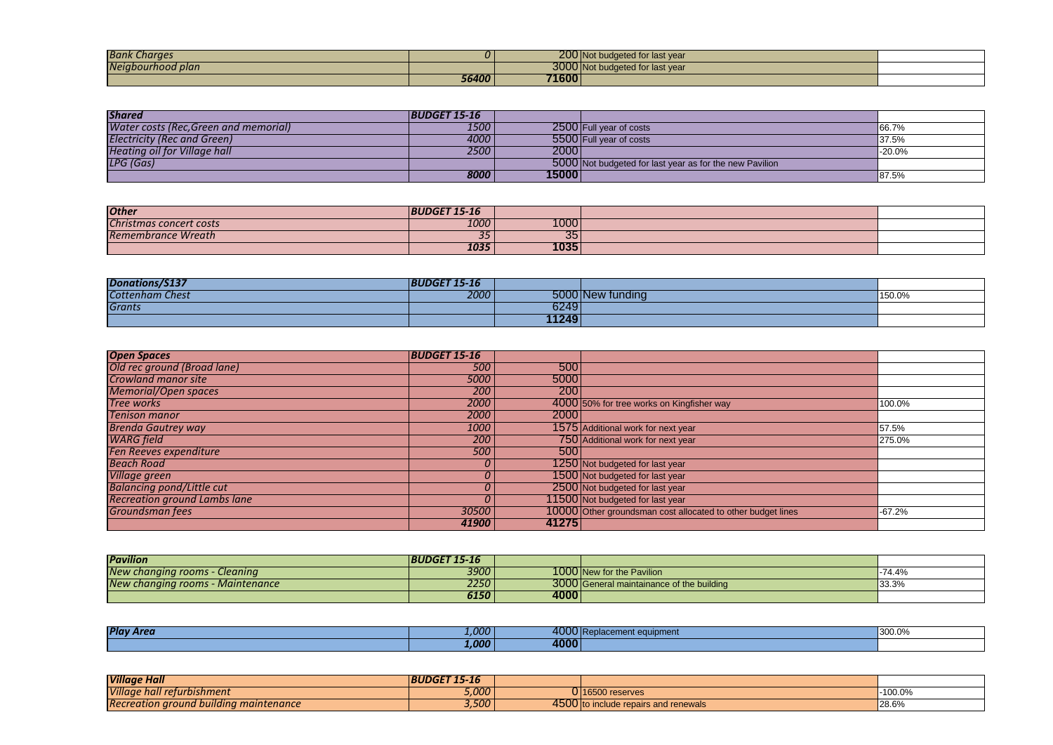| <b>Bank Charges</b> |              |       | 200 Not budgeted for last year  |  |
|---------------------|--------------|-------|---------------------------------|--|
| Neigbourhood plan   |              |       | 3000 Not budgeted for last year |  |
|                     | <b>56400</b> | 71600 |                                 |  |

| <b>Shared</b>                         | <b>BUDGET 15-16</b> |       |                                                         |          |
|---------------------------------------|---------------------|-------|---------------------------------------------------------|----------|
| Water costs (Rec, Green and memorial) | 1500                |       | 2500 Full year of costs                                 | 66.7%    |
| <b>Electricity (Rec and Green)</b>    | 4000 l              |       | 5500 Full year of costs                                 | 37.5%    |
| Heating oil for Village hall          | 2500                | 2000  |                                                         | $-20.0%$ |
| LPG (Gas)                             |                     |       | 5000 Not budgeted for last year as for the new Pavilion |          |
|                                       | 8000                | 15000 |                                                         | 87.5%    |

| <b>Other</b>            | <b>BUDGET 15-</b><br>$15 - 16$ |      |  |
|-------------------------|--------------------------------|------|--|
| Christmas concert costs | 1000                           | 1000 |  |
| Remembrance Wreath      | 2r<br>၁၁                       | ັບປ  |  |
|                         | 1035                           | 1035 |  |

| Donations/S13,         | $\overline{1}$ $\overline{1}$ $\overline{1}$ $\overline{1}$ $\overline{1}$ $\overline{1}$ $\overline{1}$<br><b>BU</b><br>-15-16 |       |                               |        |
|------------------------|---------------------------------------------------------------------------------------------------------------------------------|-------|-------------------------------|--------|
| <b>Cottenham Chest</b> | 2000                                                                                                                            | 5000  | <sup>,</sup> tundına<br>∣INew | 150.0% |
| <b>Grants</b>          |                                                                                                                                 | 6249  |                               |        |
|                        |                                                                                                                                 | 11249 |                               |        |

| <b>Open Spaces</b>                  | <b>BUDGET 15-16</b> |       |                                                             |          |
|-------------------------------------|---------------------|-------|-------------------------------------------------------------|----------|
| Old rec ground (Broad lane)         | 500                 | 500   |                                                             |          |
| <b>Crowland manor site</b>          | 5000                | 5000  |                                                             |          |
| <b>Memorial/Open spaces</b>         | 200                 | 200   |                                                             |          |
| <b>Tree works</b>                   | 2000                |       | 4000 50% for tree works on Kingfisher way                   | 100.0%   |
| <b>Tenison manor</b>                | 2000                | 2000  |                                                             |          |
| <b>Brenda Gautrey way</b>           | 1000                |       | 1575 Additional work for next year                          | 57.5%    |
| <b>WARG</b> field                   | 200                 |       | 750 Additional work for next year                           | 275.0%   |
| Fen Reeves expenditure              | 500                 | 500   |                                                             |          |
| <b>Beach Road</b>                   | U                   |       | 1250 Not budgeted for last year                             |          |
| Village green                       | υ                   |       | 1500 Not budgeted for last year                             |          |
| <b>Balancing pond/Little cut</b>    | U                   |       | 2500 Not budgeted for last year                             |          |
| <b>Recreation ground Lambs lane</b> | U                   |       | 11500 Not budgeted for last year                            |          |
| Groundsman fees                     | 30500               |       | 10000 Other groundsman cost allocated to other budget lines | $-67.2%$ |
|                                     | 41900               | 41275 |                                                             |          |

| <b>Pavilion</b>                  | <b>BUDGET 15-16</b> |      |                                           |          |
|----------------------------------|---------------------|------|-------------------------------------------|----------|
| New changing rooms - Cleaning    | 3900 l              |      | 1000 New for the Pavilion                 | $-74.4%$ |
| New changing rooms - Maintenance | 2250                |      | 3000 General maintainance of the building | 33.3%    |
|                                  | 6150                | 4000 |                                           |          |

| <b>Play Area</b> | .000"        | 4000 Re | eplacement equipment | 1300.0% |
|------------------|--------------|---------|----------------------|---------|
|                  | <b>1.000</b> | 4000    |                      |         |

| <b>Village Hall</b>                           | <b>BUDGET</b><br>$15 - 16$ |            |                                      |           |
|-----------------------------------------------|----------------------------|------------|--------------------------------------|-----------|
| <b>Village</b><br>hall returbishment ?        | 5,000                      |            | 0116500 reserves                     | $-100.0%$ |
| <b>Recreation ground building maintenance</b> | 3,500                      | <b>A50</b> | 4500 to include repairs and renewals | 28.6%     |